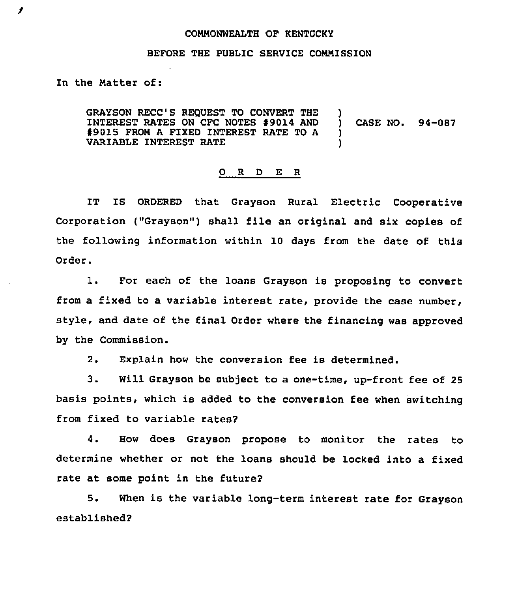## COMMONWEALTH OF KENTUCKY

## BEFORE THE PUBLIC SERVICE COMMISSION

In the Matter of:

Ĵ

GRAYSON RECC'S REQUEST TO CONVERT THE INTEREST RATES ON CFC NOTES 99014 AND 99015 FROM <sup>A</sup> FIXED INTEREST RATE TO <sup>A</sup> VARIABLE INTEREST RATE ) ) CASE NO. 94-087 ) )

## 0 R <sup>D</sup> E <sup>R</sup>

IT Is ORDERED that Grayson Rural Electric cooperative Corporation ("Grayson") shall file an original and six copies of the following information within 10 days from the date of this Order.

1. For each of the loans Grayson is proposing to convert from a fixed to a variable interest rate, provide the case number, style, and date of the final Order where the financing was approved by the Commission.

2. Explain how the conversion fee is determined.

3. Will Grayson be subject to a one-time, up-front fee of <sup>25</sup> basis points, which is added to the conversion fee when switching from fixed to variable rates?

4. How does Grayson propose to monitor the rates to determine whether or not the loans should be locked into a fixed rate at some point in the future?

5. When is the variable long-term interest rate for Grayson established?